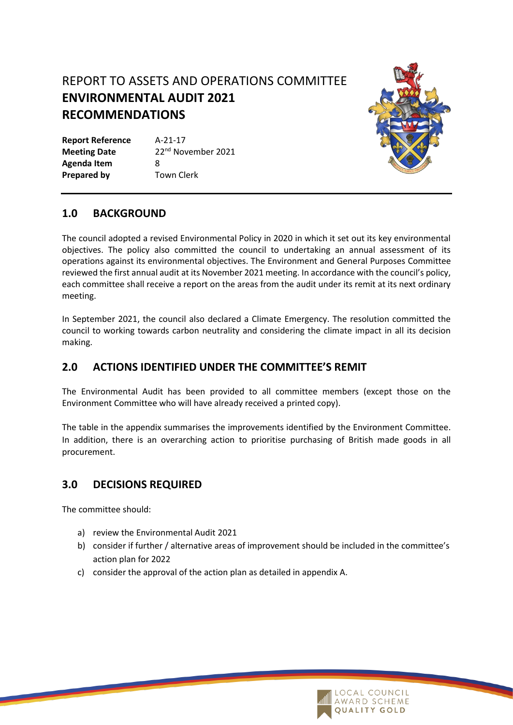# REPORT TO ASSETS AND OPERATIONS COMMITTEE **ENVIRONMENTAL AUDIT 2021 RECOMMENDATIONS**

**Report Reference** A-21-17 **Meeting Date** 22<sup>nd</sup> November 2021 **Agenda Item** 8 **Prepared by Town Clerk** 



#### **1.0 BACKGROUND**

The council adopted a revised Environmental Policy in 2020 in which it set out its key environmental objectives. The policy also committed the council to undertaking an annual assessment of its operations against its environmental objectives. The Environment and General Purposes Committee reviewed the first annual audit at its November 2021 meeting. In accordance with the council's policy, each committee shall receive a report on the areas from the audit under its remit at its next ordinary meeting.

In September 2021, the council also declared a Climate Emergency. The resolution committed the council to working towards carbon neutrality and considering the climate impact in all its decision making.

### **2.0 ACTIONS IDENTIFIED UNDER THE COMMITTEE'S REMIT**

The Environmental Audit has been provided to all committee members (except those on the Environment Committee who will have already received a printed copy).

The table in the appendix summarises the improvements identified by the Environment Committee. In addition, there is an overarching action to prioritise purchasing of British made goods in all procurement.

#### **3.0 DECISIONS REQUIRED**

The committee should:

- a) review the Environmental Audit 2021
- b) consider if further / alternative areas of improvement should be included in the committee's action plan for 2022
- c) consider the approval of the action plan as detailed in appendix A.

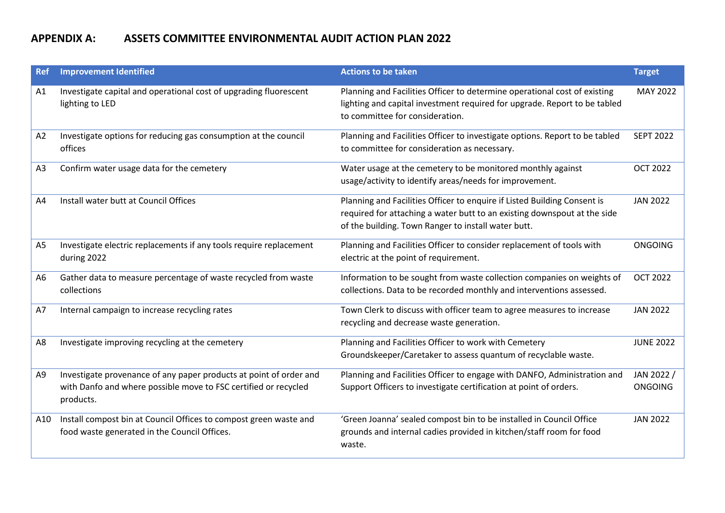## **APPENDIX A: ASSETS COMMITTEE ENVIRONMENTAL AUDIT ACTION PLAN 2022**

| <b>Ref</b>     | <b>Improvement Identified</b>                                                                                                                      | <b>Actions to be taken</b>                                                                                                                                                                                  | <b>Target</b>                |
|----------------|----------------------------------------------------------------------------------------------------------------------------------------------------|-------------------------------------------------------------------------------------------------------------------------------------------------------------------------------------------------------------|------------------------------|
| A1             | Investigate capital and operational cost of upgrading fluorescent<br>lighting to LED                                                               | Planning and Facilities Officer to determine operational cost of existing<br>lighting and capital investment required for upgrade. Report to be tabled<br>to committee for consideration.                   | MAY 2022                     |
| A2             | Investigate options for reducing gas consumption at the council<br>offices                                                                         | Planning and Facilities Officer to investigate options. Report to be tabled<br>to committee for consideration as necessary.                                                                                 | <b>SEPT 2022</b>             |
| A <sub>3</sub> | Confirm water usage data for the cemetery                                                                                                          | Water usage at the cemetery to be monitored monthly against<br>usage/activity to identify areas/needs for improvement.                                                                                      | <b>OCT 2022</b>              |
| A4             | Install water butt at Council Offices                                                                                                              | Planning and Facilities Officer to enquire if Listed Building Consent is<br>required for attaching a water butt to an existing downspout at the side<br>of the building. Town Ranger to install water butt. | <b>JAN 2022</b>              |
| A <sub>5</sub> | Investigate electric replacements if any tools require replacement<br>during 2022                                                                  | Planning and Facilities Officer to consider replacement of tools with<br>electric at the point of requirement.                                                                                              | <b>ONGOING</b>               |
| A <sub>6</sub> | Gather data to measure percentage of waste recycled from waste<br>collections                                                                      | Information to be sought from waste collection companies on weights of<br>collections. Data to be recorded monthly and interventions assessed.                                                              | <b>OCT 2022</b>              |
| A7             | Internal campaign to increase recycling rates                                                                                                      | Town Clerk to discuss with officer team to agree measures to increase<br>recycling and decrease waste generation.                                                                                           | <b>JAN 2022</b>              |
| A8             | Investigate improving recycling at the cemetery                                                                                                    | Planning and Facilities Officer to work with Cemetery<br>Groundskeeper/Caretaker to assess quantum of recyclable waste.                                                                                     | <b>JUNE 2022</b>             |
| A9             | Investigate provenance of any paper products at point of order and<br>with Danfo and where possible move to FSC certified or recycled<br>products. | Planning and Facilities Officer to engage with DANFO, Administration and<br>Support Officers to investigate certification at point of orders.                                                               | JAN 2022 /<br><b>ONGOING</b> |
| A10            | Install compost bin at Council Offices to compost green waste and<br>food waste generated in the Council Offices.                                  | 'Green Joanna' sealed compost bin to be installed in Council Office<br>grounds and internal cadies provided in kitchen/staff room for food<br>waste.                                                        | <b>JAN 2022</b>              |